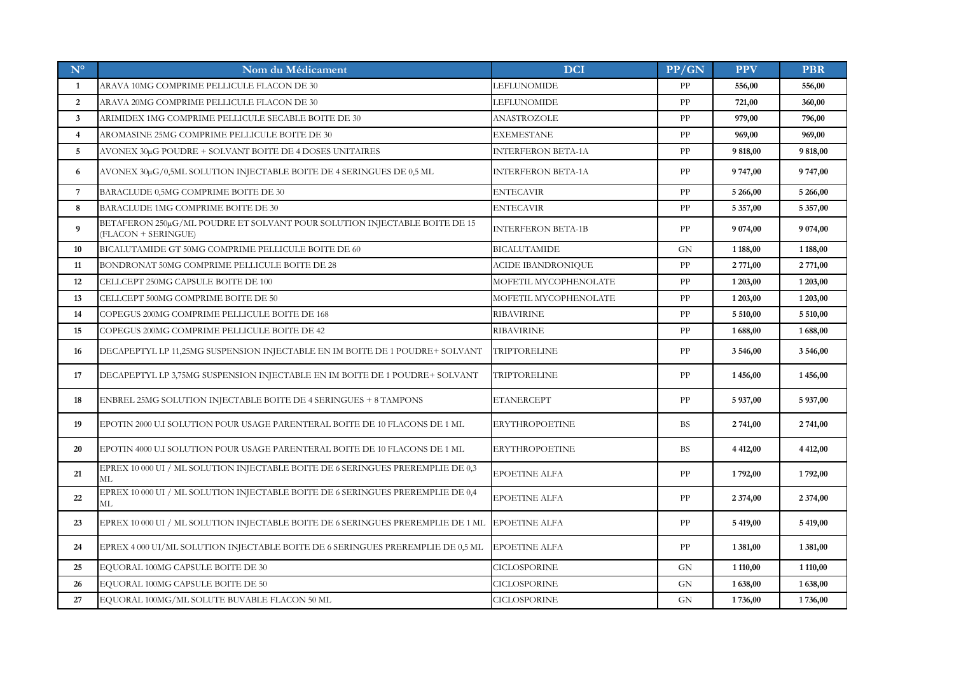| $N^{\circ}$     | Nom du Médicament                                                                                | <b>DCI</b>                | PP/GN      | <b>PPV</b>  | <b>PBR</b>    |
|-----------------|--------------------------------------------------------------------------------------------------|---------------------------|------------|-------------|---------------|
| $\mathbf{1}$    | ARAVA 10MG COMPRIME PELLICULE FLACON DE 30                                                       | LEFLUNOMIDE               | PP         | 556,00      | 556,00        |
| $\mathbf{2}$    | ARAVA 20MG COMPRIME PELLICULE FLACON DE 30                                                       | <b>LEFLUNOMIDE</b>        | PP         | 721,00      | 360,00        |
| $\mathbf{3}$    | ARIMIDEX 1MG COMPRIME PELLICULE SECABLE BOITE DE 30                                              | ANASTROZOLE               | PP         | 979,00      | 796,00        |
| $\overline{4}$  | AROMASINE 25MG COMPRIME PELLICULE BOITE DE 30                                                    | <b>EXEMESTANE</b>         | ${\rm PP}$ | 969,00      | 969,00        |
| 5               | AVONEX 30µG POUDRE + SOLVANT BOITE DE 4 DOSES UNITAIRES                                          | INTERFERON BETA-1A        | ${\rm PP}$ | 9 818,00    | 9 818,00      |
| 6               | AVONEX 30µG/0,5ML SOLUTION INJECTABLE BOITE DE 4 SERINGUES DE 0,5 ML                             | INTERFERON BETA-1A        | PP         | 9 747,00    | 9747,00       |
| $7\phantom{.0}$ | BARACLUDE 0,5MG COMPRIME BOITE DE 30                                                             | <b>ENTECAVIR</b>          | ${\rm PP}$ | 5 266,00    | 5 266,00      |
| 8               | BARACLUDE 1MG COMPRIME BOITE DE 30                                                               | <b>ENTECAVIR</b>          | PP         | 5 357,00    | 5 357,00      |
| 9               | BETAFERON 250µG/ML POUDRE ET SOLVANT POUR SOLUTION INJECTABLE BOITE DE 15<br>(FLACON + SERINGUE) | <b>INTERFERON BETA-1B</b> | PP         | 9 0 74,00   | 9 0 74,00     |
| 10              | BICALUTAMIDE GT 50MG COMPRIME PELLICULE BOITE DE 60                                              | <b>BICALUTAMIDE</b>       | <b>GN</b>  | 1 188,00    | 1 188,00      |
| 11              | BONDRONAT 50MG COMPRIME PELLICULE BOITE DE 28                                                    | ACIDE IBANDRONIQUE        | PP         | 2 771,00    | 2 771,00      |
| 12              | CELLCEPT 250MG CAPSULE BOITE DE 100                                                              | MOFETIL MYCOPHENOLATE     | PP         | 1 203,00    | 1 203,00      |
| 13              | CELLCEPT 500MG COMPRIME BOITE DE 50                                                              | MOFETIL MYCOPHENOLATE     | PP         | 1 203,00    | 1 203,00      |
| 14              | COPEGUS 200MG COMPRIME PELLICULE BOITE DE 168                                                    | <b>RIBAVIRINE</b>         | PP         | 5 510,00    | 5 510,00      |
| 15              | COPEGUS 200MG COMPRIME PELLICULE BOITE DE 42                                                     | <b>RIBAVIRINE</b>         | PP         | 1688,00     | 1688,00       |
| 16              | DECAPEPTYL LP 11,25MG SUSPENSION INJECTABLE EN IM BOITE DE 1 POUDRE+ SOLVANT                     | <b>TRIPTORELINE</b>       | PP         | 3 546,00    | 3 546,00      |
| 17              | DECAPEPTYL LP 3,75MG SUSPENSION INJECTABLE EN IM BOITE DE 1 POUDRE+ SOLVANT                      | <b>TRIPTORELINE</b>       | PP         | 1456,00     | 1456,00       |
| 18              | ENBREL 25MG SOLUTION INJECTABLE BOITE DE 4 SERINGUES + 8 TAMPONS                                 | <b>ETANERCEPT</b>         | PP         | 5 937,00    | 5937,00       |
| 19              | EPOTIN 2000 U.I SOLUTION POUR USAGE PARENTERAL BOITE DE 10 FLACONS DE 1 ML                       | <b>ERYTHROPOETINE</b>     | <b>BS</b>  | 2 741,00    | 2 741,00      |
| 20              | EPOTIN 4000 U.I SOLUTION POUR USAGE PARENTERAL BOITE DE 10 FLACONS DE 1 ML                       | <b>ERYTHROPOETINE</b>     | <b>BS</b>  | 4 4 12,00   | 4 4 12,00     |
| 21              | EPREX 10 000 UI / ML SOLUTION INJECTABLE BOITE DE 6 SERINGUES PREREMPLIE DE 0,3<br>МL            | EPOETINE ALFA             | PP         | 1792,00     | 1792,00       |
| 22              | EPREX 10 000 UI / ML SOLUTION INJECTABLE BOITE DE 6 SERINGUES PREREMPLIE DE 0,4<br>МL            | <b>EPOETINE ALFA</b>      | PP         | 2 3 7 4 ,00 | 2 374,00      |
| 23              | EPREX 10 000 UI / ML SOLUTION INJECTABLE BOITE DE 6 SERINGUES PREREMPLIE DE 1 ML                 | <b>EPOETINE ALFA</b>      | PP         | 5 419,00    | 5 419,00      |
| 24              | EPREX 4 000 UI/ML SOLUTION INJECTABLE BOITE DE 6 SERINGUES PREREMPLIE DE 0,5 ML                  | <b>EPOETINE ALFA</b>      | PP         | 1 381,00    | 1 3 8 1 , 0 0 |
| 25              | EQUORAL 100MG CAPSULE BOITE DE 30                                                                | CICLOSPORINE              | <b>GN</b>  | 1 110,00    | 1 110,00      |
| 26              | EQUORAL 100MG CAPSULE BOITE DE 50                                                                | CICLOSPORINE              | GN         | 1638,00     | 1638,00       |
| 27              | EQUORAL 100MG/ML SOLUTE BUVABLE FLACON 50 ML                                                     | CICLOSPORINE              | <b>GN</b>  | 1736,00     | 1736,00       |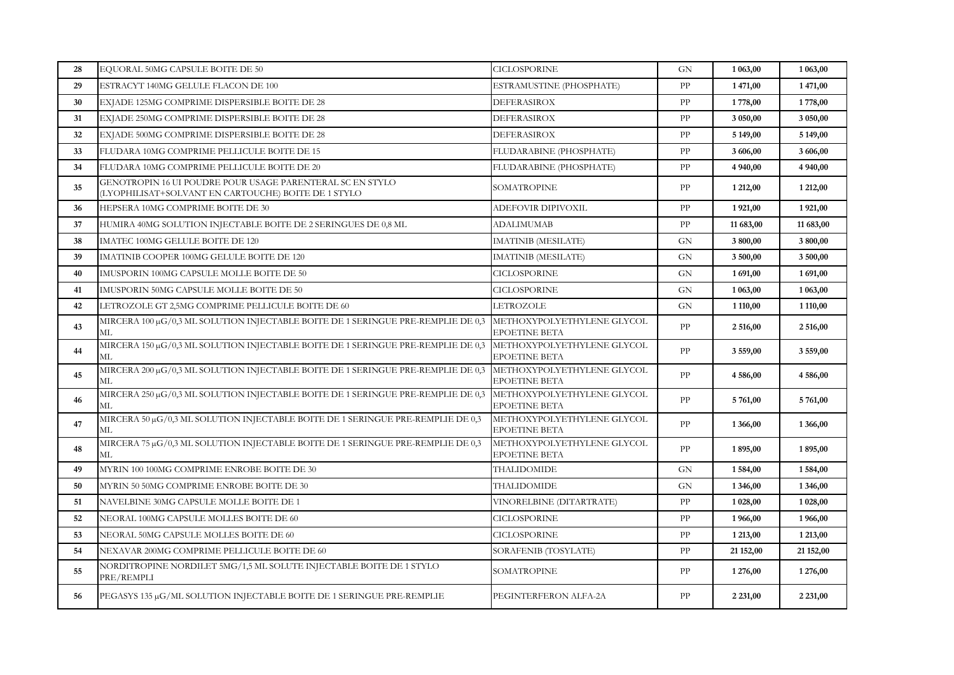| 28 | EQUORAL 50MG CAPSULE BOITE DE 50                                                                                 | <b>CICLOSPORINE</b>                                | <b>GN</b>  | 1 063,00      | 1 063,00  |
|----|------------------------------------------------------------------------------------------------------------------|----------------------------------------------------|------------|---------------|-----------|
| 29 | ESTRACYT 140MG GELULE FLACON DE 100                                                                              | ESTRAMUSTINE (PHOSPHATE)                           | PP         | 1471,00       | 1471,00   |
| 30 | EXJADE 125MG COMPRIME DISPERSIBLE BOITE DE 28                                                                    | <b>DEFERASIROX</b>                                 | PP         | 1778,00       | 1778,00   |
| 31 | EXJADE 250MG COMPRIME DISPERSIBLE BOITE DE 28                                                                    | <b>DEFERASIROX</b>                                 | PP         | 3 050,00      | 3 050,00  |
| 32 | EXJADE 500MG COMPRIME DISPERSIBLE BOITE DE 28                                                                    | DEFERASIROX                                        | PP         | 5 149,00      | 5 149,00  |
| 33 | FLUDARA 10MG COMPRIME PELLICULE BOITE DE 15                                                                      | FLUDARABINE (PHOSPHATE)                            | PP         | 3 606,00      | 3 606,00  |
| 34 | FLUDARA 10MG COMPRIME PELLICULE BOITE DE 20                                                                      | FLUDARABINE (PHOSPHATE)                            | PP         | 4 940,00      | 4 940,00  |
| 35 | GENOTROPIN 16 UI POUDRE POUR USAGE PARENTERAL SC EN STYLO<br>(LYOPHILISAT+SOLVANT EN CARTOUCHE) BOITE DE 1 STYLO | SOMATROPINE                                        | PP         | 1 212,00      | 1 212,00  |
| 36 | HEPSERA 10MG COMPRIME BOITE DE 30                                                                                | ADEFOVIR DIPIVOXIL                                 | PP         | 1921,00       | 1921,00   |
| 37 | HUMIRA 40MG SOLUTION INJECTABLE BOITE DE 2 SERINGUES DE 0,8 ML                                                   | ADALIMUMAB                                         | PP         | 11 683,00     | 11 683,00 |
| 38 | IMATEC 100MG GELULE BOITE DE 120                                                                                 | <b>IMATINIB (MESILATE)</b>                         | <b>GN</b>  | 3 800,00      | 3 800,00  |
| 39 | IMATINIB COOPER 100MG GELULE BOITE DE 120                                                                        | <b>IMATINIB (MESILATE)</b>                         | <b>GN</b>  | 3 500,00      | 3 500,00  |
| 40 | IMUSPORIN 100MG CAPSULE MOLLE BOITE DE 50                                                                        | CICLOSPORINE                                       | <b>GN</b>  | 1691,00       | 1691,00   |
| 41 | IMUSPORIN 50MG CAPSULE MOLLE BOITE DE 50                                                                         | <b>CICLOSPORINE</b>                                | <b>GN</b>  | 1 0 63,00     | 1 063,00  |
| 42 | LETROZOLE GT 2,5MG COMPRIME PELLICULE BOITE DE 60                                                                | LETROZOLE                                          | <b>GN</b>  | 1 110,00      | 1 110,00  |
| 43 | MIRCERA 100 µG/0,3 ML SOLUTION INJECTABLE BOITE DE 1 SERINGUE PRE-REMPLIE DE 0,3<br>МL                           | METHOXYPOLYETHYLENE GLYCOL<br>EPOETINE BETA        | PP         | 2 516,00      | 2 516,00  |
| 44 | MIRCERA 150 µG/0,3 ML SOLUTION INJECTABLE BOITE DE 1 SERINGUE PRE-REMPLIE DE 0,3<br>ML                           | METHOXYPOLYETHYLENE GLYCOL<br><b>EPOETINE BETA</b> | PP         | 3559,00       | 3 559,00  |
| 45 | MIRCERA 200 μG/0,3 ML SOLUTION INJECTABLE BOITE DE 1 SERINGUE PRE-REMPLIE DE 0,3<br>МL                           | METHOXYPOLYETHYLENE GLYCOL<br><b>EPOETINE BETA</b> | PP         | 4 586,00      | 4 586,00  |
| 46 | MIRCERA 250 µG/0,3 ML SOLUTION INJECTABLE BOITE DE 1 SERINGUE PRE-REMPLIE DE 0,3<br>МL                           | METHOXYPOLYETHYLENE GLYCOL<br><b>EPOETINE BETA</b> | ${\rm PP}$ | 5 761,00      | 5761,00   |
| 47 | MIRCERA 50 µG/0,3 ML SOLUTION INJECTABLE BOITE DE 1 SERINGUE PRE-REMPLIE DE 0,3<br>ML                            | METHOXYPOLYETHYLENE GLYCOL<br><b>EPOETINE BETA</b> | PP         | 1 3 6 6,00    | 1 366,00  |
| 48 | MIRCERA 75µG/0,3 ML SOLUTION INJECTABLE BOITE DE 1 SERINGUE PRE-REMPLIE DE 0,3<br>МL                             | METHOXYPOLYETHYLENE GLYCOL<br><b>EPOETINE BETA</b> | PP         | 1895,00       | 1895,00   |
| 49 | MYRIN 100 100MG COMPRIME ENROBE BOITE DE 30                                                                      | THALIDOMIDE                                        | <b>GN</b>  | 1584,00       | 1584,00   |
| 50 | MYRIN 50 50MG COMPRIME ENROBE BOITE DE 30                                                                        | THALIDOMIDE                                        | <b>GN</b>  | 1 3 4 6,00    | 1 346,00  |
| 51 | NAVELBINE 30MG CAPSULE MOLLE BOITE DE 1                                                                          | VINORELBINE (DITARTRATE)                           | PP         | 1 028,00      | 1 028,00  |
| 52 | NEORAL 100MG CAPSULE MOLLES BOITE DE 60                                                                          | <b>CICLOSPORINE</b>                                | PP         | 1966,00       | 1966,00   |
| 53 | NEORAL 50MG CAPSULE MOLLES BOITE DE 60                                                                           | <b>CICLOSPORINE</b>                                | PP         | 1 2 1 3 , 0 0 | 1 213,00  |
| 54 | NEXAVAR 200MG COMPRIME PELLICULE BOITE DE 60                                                                     | SORAFENIB (TOSYLATE)                               | PP         | 21 152,00     | 21 152,00 |
| 55 | NORDITROPINE NORDILET 5MG/1,5 ML SOLUTE INJECTABLE BOITE DE 1 STYLO<br>PRE/REMPLI                                | SOMATROPINE                                        | PP         | 1 276,00      | 1 276,00  |
| 56 | PEGASYS 135 μG/ML SOLUTION INJECTABLE BOITE DE 1 SERINGUE PRE-REMPLIE                                            | PEGINTERFERON ALFA-2A                              | PP         | 2 2 3 1,00    | 2 231,00  |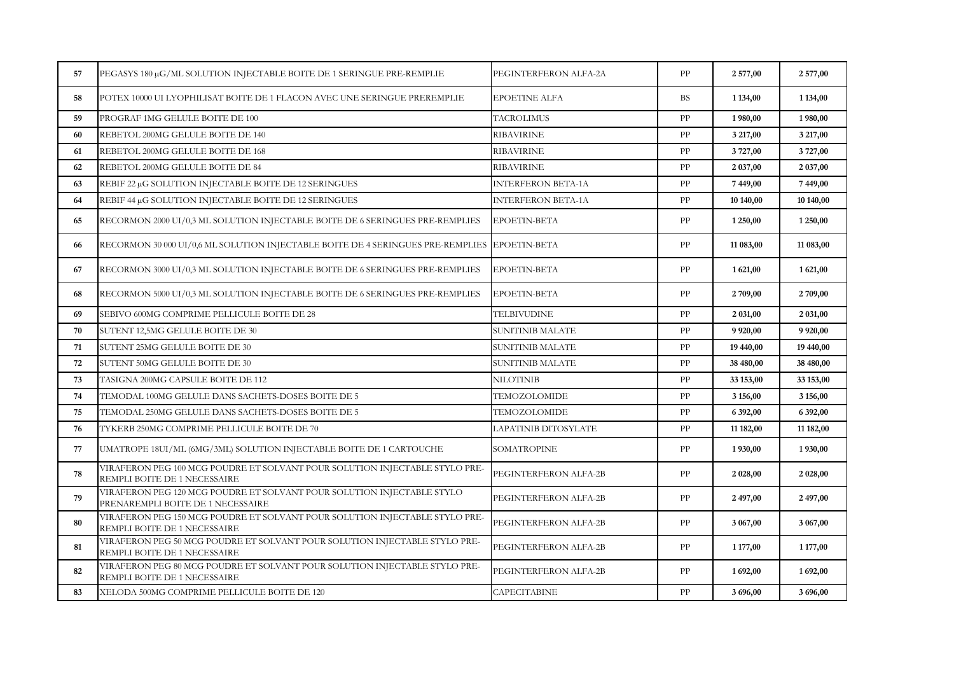| 57 | PEGASYS 180 µG/ML SOLUTION INJECTABLE BOITE DE 1 SERINGUE PRE-REMPLIE                                       | PEGINTERFERON ALFA-2A     | PP         | 2577,00   | 2577,00   |
|----|-------------------------------------------------------------------------------------------------------------|---------------------------|------------|-----------|-----------|
| 58 | POTEX 10000 UI LYOPHILISAT BOITE DE 1 FLACON AVEC UNE SERINGUE PREREMPLIE                                   | <b>EPOETINE ALFA</b>      | <b>BS</b>  | 1 134,00  | 1 134,00  |
| 59 | PROGRAF 1MG GELULE BOITE DE 100                                                                             | <b>TACROLIMUS</b>         | PP         | 1980,00   | 1980,00   |
| 60 | REBETOL 200MG GELULE BOITE DE 140                                                                           | <b>RIBAVIRINE</b>         | PP         | 3 217,00  | 3 217,00  |
| 61 | REBETOL 200MG GELULE BOITE DE 168                                                                           | <b>RIBAVIRINE</b>         | PP         | 3727,00   | 3727,00   |
| 62 | REBETOL 200MG GELULE BOITE DE 84                                                                            | <b>RIBAVIRINE</b>         | PP         | 2 037,00  | 2 037,00  |
| 63 | REBIF 22 µG SOLUTION INJECTABLE BOITE DE 12 SERINGUES                                                       | <b>INTERFERON BETA-1A</b> | PP         | 7449,00   | 7449,00   |
| 64 | REBIF 44 µG SOLUTION INJECTABLE BOITE DE 12 SERINGUES                                                       | <b>INTERFERON BETA-1A</b> | PP         | 10 140,00 | 10 140,00 |
| 65 | RECORMON 2000 UI/0,3 ML SOLUTION INJECTABLE BOITE DE 6 SERINGUES PRE-REMPLIES                               | EPOETIN-BETA              | PP         | 1 250,00  | 1 250,00  |
| 66 | RECORMON 30 000 UI/0,6 ML SOLUTION INJECTABLE BOITE DE 4 SERINGUES PRE-REMPLIES EPOETIN-BETA                |                           | PP         | 11 083,00 | 11 083,00 |
| 67 | RECORMON 3000 UI/0,3 ML SOLUTION INJECTABLE BOITE DE 6 SERINGUES PRE-REMPLIES                               | EPOETIN-BETA              | PP         | 1 621,00  | 1 621,00  |
| 68 | RECORMON 5000 UI/0,3 ML SOLUTION INJECTABLE BOITE DE 6 SERINGUES PRE-REMPLIES                               | EPOETIN-BETA              | PP         | 2 709,00  | 2709,00   |
| 69 | SEBIVO 600MG COMPRIME PELLICULE BOITE DE 28                                                                 | TELBIVUDINE               | PP         | 2 031,00  | 2 031,00  |
| 70 | SUTENT 12,5MG GELULE BOITE DE 30                                                                            | SUNITINIB MALATE          | PP         | 9 9 20,00 | 9 9 20,00 |
| 71 | SUTENT 25MG GELULE BOITE DE 30                                                                              | <b>SUNITINIB MALATE</b>   | PP         | 19 440,00 | 19 440,00 |
| 72 | SUTENT 50MG GELULE BOITE DE 30                                                                              | SUNITINIB MALATE          | PP         | 38 480,00 | 38 480,00 |
| 73 | TASIGNA 200MG CAPSULE BOITE DE 112                                                                          | NILOTINIB                 | PP         | 33 153,00 | 33 153,00 |
| 74 | TEMODAL 100MG GELULE DANS SACHETS-DOSES BOITE DE 5                                                          | TEMOZOLOMIDE              | ${\rm PP}$ | 3 156,00  | 3 156,00  |
| 75 | TEMODAL 250MG GELULE DANS SACHETS-DOSES BOITE DE 5                                                          | TEMOZOLOMIDE              | PP         | 6 392,00  | 6 392,00  |
| 76 | TYKERB 250MG COMPRIME PELLICULE BOITE DE 70                                                                 | LAPATINIB DITOSYLATE      | PP         | 11 182,00 | 11 182,00 |
| 77 | UMATROPE 18UI/ML (6MG/3ML) SOLUTION INJECTABLE BOITE DE 1 CARTOUCHE                                         | SOMATROPINE               | PP         | 1930,00   | 1930,00   |
| 78 | VIRAFERON PEG 100 MCG POUDRE ET SOLVANT POUR SOLUTION INJECTABLE STYLO PRE-<br>REMPLI BOITE DE 1 NECESSAIRE | PEGINTERFERON ALFA-2B     | PP         | 2 028,00  | 2 028,00  |
| 79 | VIRAFERON PEG 120 MCG POUDRE ET SOLVANT POUR SOLUTION INJECTABLE STYLO<br>PRENAREMPLI BOITE DE 1 NECESSAIRE | PEGINTERFERON ALFA-2B     | ${\rm PP}$ | 2497,00   | 2497,00   |
| 80 | VIRAFERON PEG 150 MCG POUDRE ET SOLVANT POUR SOLUTION INJECTABLE STYLO PRE-<br>REMPLI BOITE DE 1 NECESSAIRE | PEGINTERFERON ALFA-2B     | PP         | 3 067,00  | 3 067,00  |
| 81 | VIRAFERON PEG 50 MCG POUDRE ET SOLVANT POUR SOLUTION INJECTABLE STYLO PRE-<br>REMPLI BOITE DE 1 NECESSAIRE  | PEGINTERFERON ALFA-2B     | PP         | 1 177,00  | 1 177,00  |
| 82 | VIRAFERON PEG 80 MCG POUDRE ET SOLVANT POUR SOLUTION INJECTABLE STYLO PRE-<br>REMPLI BOITE DE 1 NECESSAIRE  | PEGINTERFERON ALFA-2B     | PP         | 1692,00   | 1692,00   |
| 83 | XELODA 500MG COMPRIME PELLICULE BOITE DE 120                                                                | <b>CAPECITABINE</b>       | PP         | 3 696,00  | 3 696,00  |